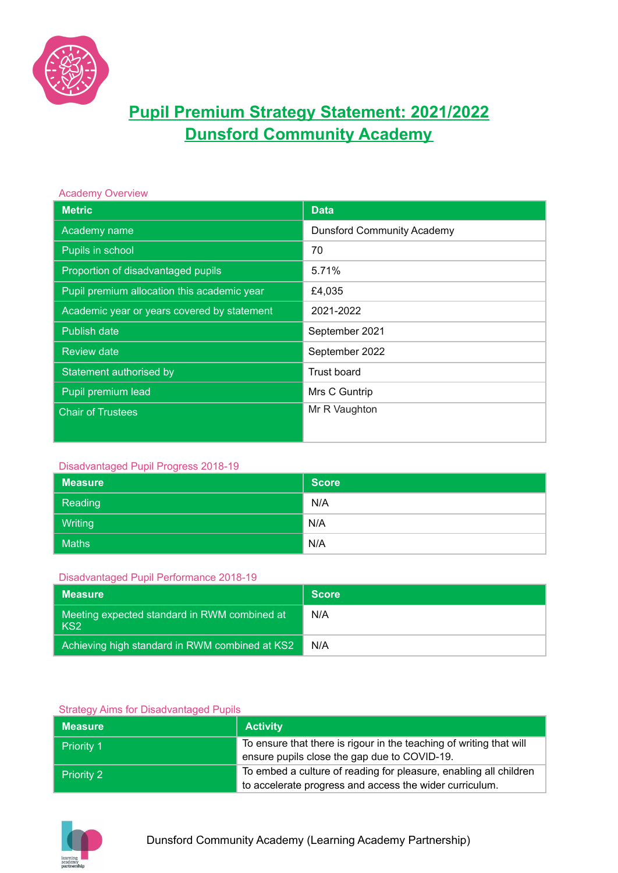

# **Pupil Premium Strategy Statement: 2021/2022 Dunsford Community Academy**

#### Academy Overview

| <b>Metric</b>                               | <b>Data</b>                       |
|---------------------------------------------|-----------------------------------|
| Academy name                                | <b>Dunsford Community Academy</b> |
| Pupils in school                            | 70                                |
| Proportion of disadvantaged pupils          | 5.71%                             |
| Pupil premium allocation this academic year | £4,035                            |
| Academic year or years covered by statement | 2021-2022                         |
| Publish date                                | September 2021                    |
| <b>Review date</b>                          | September 2022                    |
| Statement authorised by                     | Trust board                       |
| Pupil premium lead                          | Mrs C Guntrip                     |
| <b>Chair of Trustees</b>                    | Mr R Vaughton                     |
|                                             |                                   |

#### Disadvantaged Pupil Progress 2018-19

| <b>Measure</b> | <b>Score</b> |
|----------------|--------------|
| Reading        | N/A          |
| <b>Writing</b> | N/A          |
| <b>Maths</b>   | N/A          |

#### Disadvantaged Pupil Performance 2018-19

| Measure                                                           | <b>Score</b> |
|-------------------------------------------------------------------|--------------|
| Meeting expected standard in RWM combined at '<br>KS <sub>2</sub> | N/A          |
| Achieving high standard in RWM combined at KS2                    | N/A          |

#### Strategy Aims for Disadvantaged Pupils

| <b>Measure</b>    | <b>Activity</b>                                                                                                              |
|-------------------|------------------------------------------------------------------------------------------------------------------------------|
| Priority 1        | To ensure that there is rigour in the teaching of writing that will<br>ensure pupils close the gap due to COVID-19.          |
| <b>Priority 2</b> | To embed a culture of reading for pleasure, enabling all children<br>to accelerate progress and access the wider curriculum. |

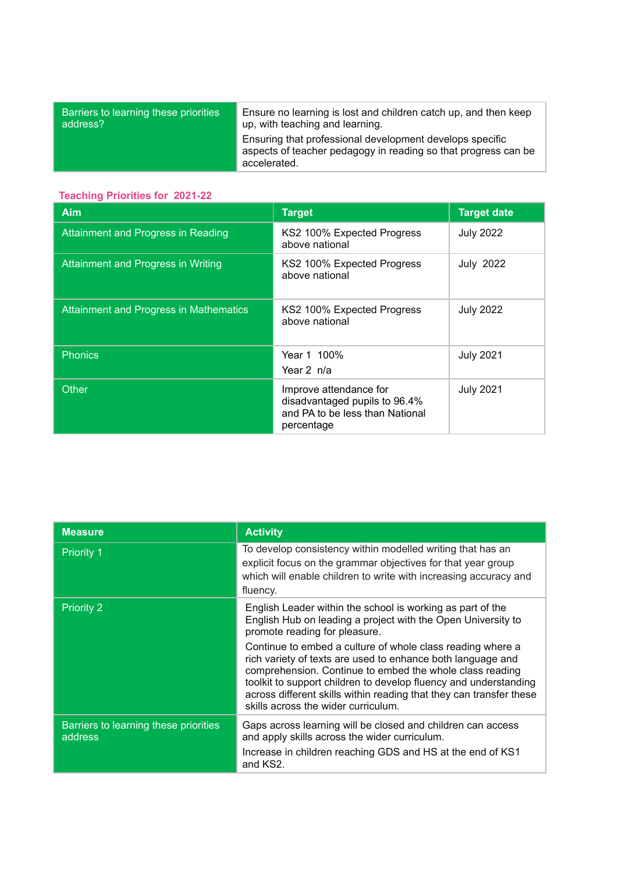| address?     | up, with teaching and learning.                                                                                            |
|--------------|----------------------------------------------------------------------------------------------------------------------------|
| accelerated. | Ensuring that professional development develops specific<br>aspects of teacher pedagogy in reading so that progress can be |

## **Teaching Priorities for 2021-22**

| Aim                                           | <b>Target</b>                                                                                            | <b>Target date</b> |
|-----------------------------------------------|----------------------------------------------------------------------------------------------------------|--------------------|
| Attainment and Progress in Reading            | KS2 100% Expected Progress<br>above national                                                             | <b>July 2022</b>   |
| <b>Attainment and Progress in Writing</b>     | KS2 100% Expected Progress<br>above national                                                             | <b>July 2022</b>   |
| <b>Attainment and Progress in Mathematics</b> | KS2 100% Expected Progress<br>above national                                                             | <b>July 2022</b>   |
| <b>Phonics</b>                                | Year 1 100%<br>Year 2 n/a                                                                                | <b>July 2021</b>   |
| <b>Other</b>                                  | Improve attendance for<br>disadvantaged pupils to 96.4%<br>and PA to be less than National<br>percentage | <b>July 2021</b>   |

| <b>Measure</b>                                   | <b>Activity</b>                                                                                                                                                                                                                                                                                                                                                         |
|--------------------------------------------------|-------------------------------------------------------------------------------------------------------------------------------------------------------------------------------------------------------------------------------------------------------------------------------------------------------------------------------------------------------------------------|
| <b>Priority 1</b>                                | To develop consistency within modelled writing that has an<br>explicit focus on the grammar objectives for that year group<br>which will enable children to write with increasing accuracy and<br>fluency.                                                                                                                                                              |
| <b>Priority 2</b>                                | English Leader within the school is working as part of the<br>English Hub on leading a project with the Open University to<br>promote reading for pleasure.                                                                                                                                                                                                             |
|                                                  | Continue to embed a culture of whole class reading where a<br>rich variety of texts are used to enhance both language and<br>comprehension. Continue to embed the whole class reading<br>toolkit to support children to develop fluency and understanding<br>across different skills within reading that they can transfer these<br>skills across the wider curriculum. |
| Barriers to learning these priorities<br>address | Gaps across learning will be closed and children can access<br>and apply skills across the wider curriculum.<br>Increase in children reaching GDS and HS at the end of KS1<br>and KS2.                                                                                                                                                                                  |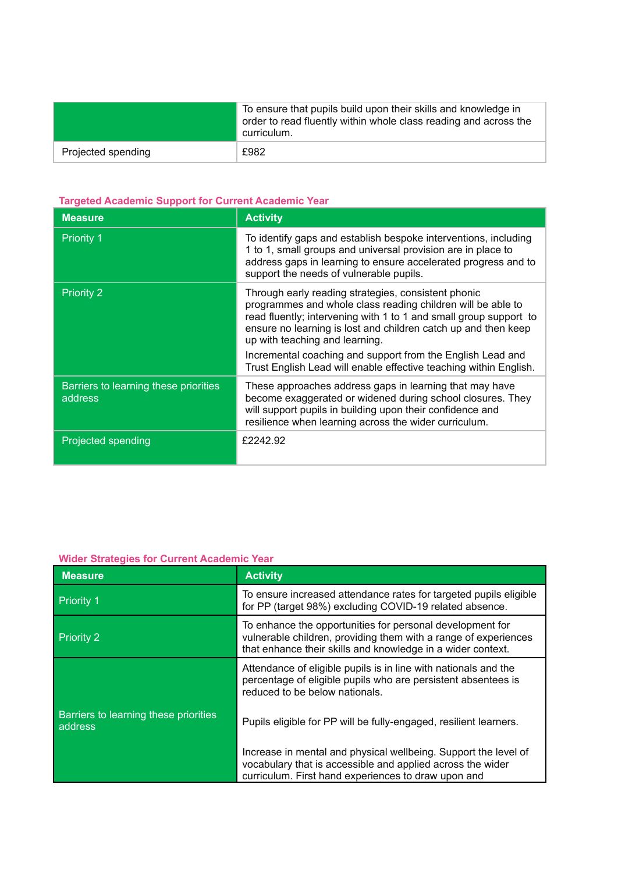|                    | To ensure that pupils build upon their skills and knowledge in<br>order to read fluently within whole class reading and across the<br>curriculum. |
|--------------------|---------------------------------------------------------------------------------------------------------------------------------------------------|
| Projected spending | £982                                                                                                                                              |

# **Targeted Academic Support for Current Academic Year**

| <b>Measure</b>                                   | <b>Activity</b>                                                                                                                                                                                                                                                                                                                                                                                                                |
|--------------------------------------------------|--------------------------------------------------------------------------------------------------------------------------------------------------------------------------------------------------------------------------------------------------------------------------------------------------------------------------------------------------------------------------------------------------------------------------------|
| <b>Priority 1</b>                                | To identify gaps and establish bespoke interventions, including<br>1 to 1, small groups and universal provision are in place to<br>address gaps in learning to ensure accelerated progress and to<br>support the needs of vulnerable pupils.                                                                                                                                                                                   |
| <b>Priority 2</b>                                | Through early reading strategies, consistent phonic<br>programmes and whole class reading children will be able to<br>read fluently; intervening with 1 to 1 and small group support to<br>ensure no learning is lost and children catch up and then keep<br>up with teaching and learning.<br>Incremental coaching and support from the English Lead and<br>Trust English Lead will enable effective teaching within English. |
| Barriers to learning these priorities<br>address | These approaches address gaps in learning that may have<br>become exaggerated or widened during school closures. They<br>will support pupils in building upon their confidence and<br>resilience when learning across the wider curriculum.                                                                                                                                                                                    |
| Projected spending                               | £2242.92                                                                                                                                                                                                                                                                                                                                                                                                                       |

## **Wider Strategies for Current Academic Year**

| <b>Measure</b>                                   | <b>Activity</b>                                                                                                                                                                             |  |
|--------------------------------------------------|---------------------------------------------------------------------------------------------------------------------------------------------------------------------------------------------|--|
| <b>Priority 1</b>                                | To ensure increased attendance rates for targeted pupils eligible<br>for PP (target 98%) excluding COVID-19 related absence.                                                                |  |
| <b>Priority 2</b>                                | To enhance the opportunities for personal development for<br>vulnerable children, providing them with a range of experiences<br>that enhance their skills and knowledge in a wider context. |  |
|                                                  | Attendance of eligible pupils is in line with nationals and the<br>percentage of eligible pupils who are persistent absentees is<br>reduced to be below nationals.                          |  |
| Barriers to learning these priorities<br>address | Pupils eligible for PP will be fully-engaged, resilient learners.                                                                                                                           |  |
|                                                  | Increase in mental and physical wellbeing. Support the level of<br>vocabulary that is accessible and applied across the wider<br>curriculum. First hand experiences to draw upon and        |  |